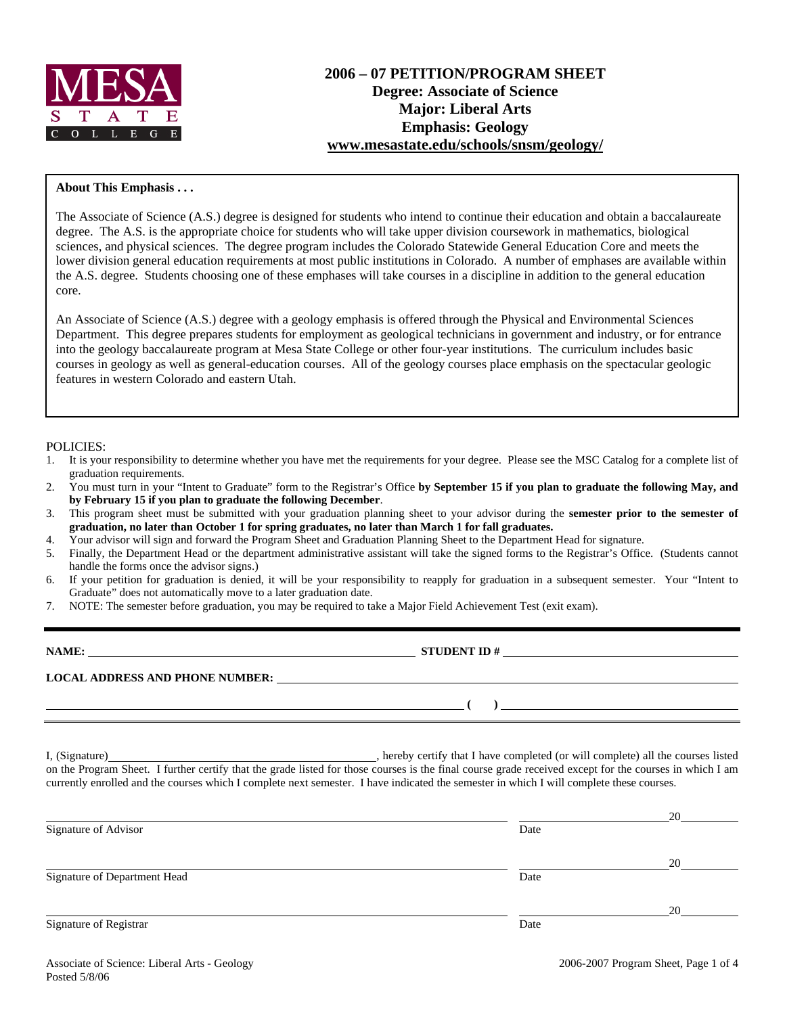

# **About This Emphasis . . .**

The Associate of Science (A.S.) degree is designed for students who intend to continue their education and obtain a baccalaureate degree. The A.S. is the appropriate choice for students who will take upper division coursework in mathematics, biological sciences, and physical sciences. The degree program includes the Colorado Statewide General Education Core and meets the lower division general education requirements at most public institutions in Colorado. A number of emphases are available within the A.S. degree. Students choosing one of these emphases will take courses in a discipline in addition to the general education core.

An Associate of Science (A.S.) degree with a geology emphasis is offered through the Physical and Environmental Sciences Department. This degree prepares students for employment as geological technicians in government and industry, or for entrance into the geology baccalaureate program at Mesa State College or other four-year institutions. The curriculum includes basic courses in geology as well as general-education courses. All of the geology courses place emphasis on the spectacular geologic features in western Colorado and eastern Utah.

### POLICIES:

- 1. It is your responsibility to determine whether you have met the requirements for your degree. Please see the MSC Catalog for a complete list of graduation requirements.
- 2. You must turn in your "Intent to Graduate" form to the Registrar's Office **by September 15 if you plan to graduate the following May, and by February 15 if you plan to graduate the following December**.
- 3. This program sheet must be submitted with your graduation planning sheet to your advisor during the **semester prior to the semester of graduation, no later than October 1 for spring graduates, no later than March 1 for fall graduates.**
- 4. Your advisor will sign and forward the Program Sheet and Graduation Planning Sheet to the Department Head for signature.
- 5. Finally, the Department Head or the department administrative assistant will take the signed forms to the Registrar's Office. (Students cannot handle the forms once the advisor signs.)
- 6. If your petition for graduation is denied, it will be your responsibility to reapply for graduation in a subsequent semester. Your "Intent to Graduate" does not automatically move to a later graduation date.
- 7. NOTE: The semester before graduation, you may be required to take a Major Field Achievement Test (exit exam).

| NAME:                                  | <b>STUDENT ID#</b> |  |
|----------------------------------------|--------------------|--|
| <b>LOCAL ADDRESS AND PHONE NUMBER:</b> |                    |  |
|                                        |                    |  |

I, (Signature) , hereby certify that I have completed (or will complete) all the courses listed on the Program Sheet. I further certify that the grade listed for those courses is the final course grade received except for the courses in which I am currently enrolled and the courses which I complete next semester. I have indicated the semester in which I will complete these courses.

|                              |      | 20 |
|------------------------------|------|----|
| Signature of Advisor         | Date |    |
|                              |      | 20 |
| Signature of Department Head | Date |    |
|                              |      | 20 |
| Signature of Registrar       | Date |    |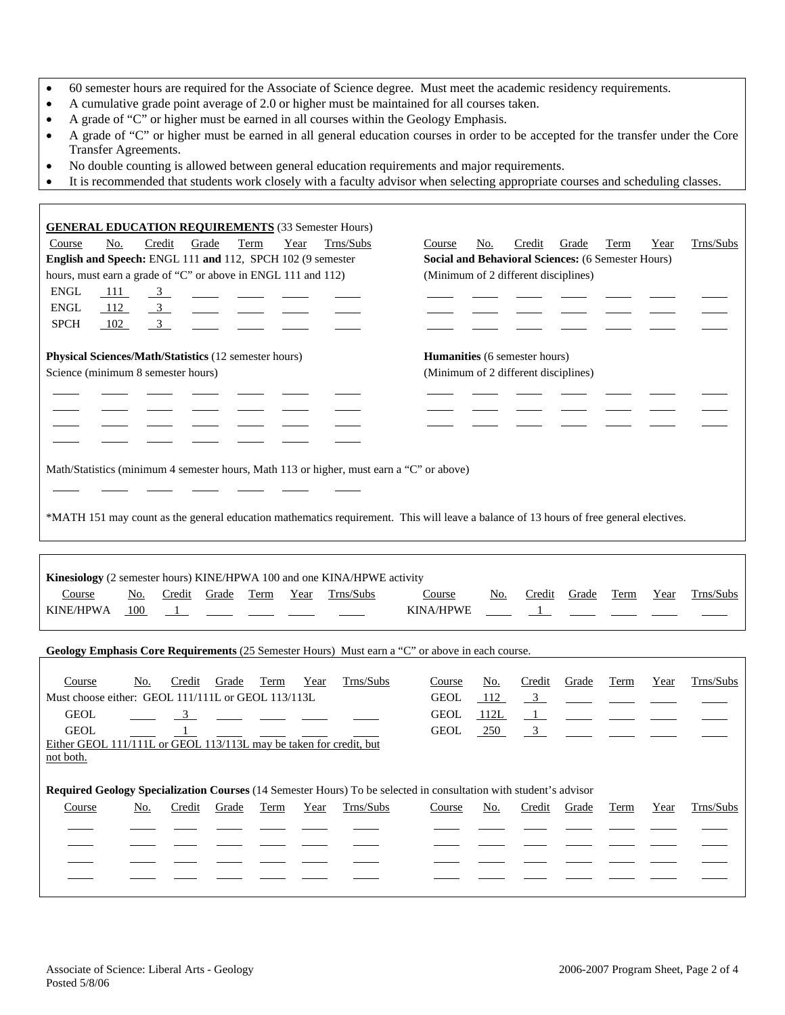- 60 semester hours are required for the Associate of Science degree. Must meet the academic residency requirements.
- A cumulative grade point average of 2.0 or higher must be maintained for all courses taken.
- A grade of "C" or higher must be earned in all courses within the Geology Emphasis.
- A grade of "C" or higher must be earned in all general education courses in order to be accepted for the transfer under the Core Transfer Agreements.
- No double counting is allowed between general education requirements and major requirements.
- It is recommended that students work closely with a faculty advisor when selecting appropriate courses and scheduling classes.

| <b>GENERAL EDUCATION REQUIREMENTS</b> (33 Semester Hours)                                                                                                                     |                                                                                                   |
|-------------------------------------------------------------------------------------------------------------------------------------------------------------------------------|---------------------------------------------------------------------------------------------------|
| No.<br>Credit<br>Grade<br>Term<br>Year<br>Trns/Subs<br>Course                                                                                                                 | Trns/Subs<br>No.<br>Credit<br>Grade<br><b>Term</b><br>Course<br>Year                              |
| English and Speech: ENGL 111 and 112, SPCH 102 (9 semester                                                                                                                    | Social and Behavioral Sciences: (6 Semester Hours)                                                |
| hours, must earn a grade of "C" or above in ENGL 111 and 112)                                                                                                                 | (Minimum of 2 different disciplines)                                                              |
| <b>ENGL</b><br>111<br>$\overline{3}$                                                                                                                                          |                                                                                                   |
| <b>ENGL</b><br>112<br>$\mathfrak{Z}$                                                                                                                                          |                                                                                                   |
| <b>SPCH</b><br>102<br>$\mathfrak{Z}$                                                                                                                                          |                                                                                                   |
|                                                                                                                                                                               |                                                                                                   |
| Physical Sciences/Math/Statistics (12 semester hours)                                                                                                                         | <b>Humanities</b> (6 semester hours)                                                              |
| Science (minimum 8 semester hours)                                                                                                                                            | (Minimum of 2 different disciplines)                                                              |
|                                                                                                                                                                               |                                                                                                   |
|                                                                                                                                                                               |                                                                                                   |
|                                                                                                                                                                               |                                                                                                   |
|                                                                                                                                                                               |                                                                                                   |
|                                                                                                                                                                               |                                                                                                   |
| Math/Statistics (minimum 4 semester hours, Math 113 or higher, must earn a "C" or above)                                                                                      |                                                                                                   |
|                                                                                                                                                                               |                                                                                                   |
|                                                                                                                                                                               |                                                                                                   |
| *MATH 151 may count as the general education mathematics requirement. This will leave a balance of 13 hours of free general electives.                                        |                                                                                                   |
|                                                                                                                                                                               |                                                                                                   |
|                                                                                                                                                                               |                                                                                                   |
| Kinesiology (2 semester hours) KINE/HPWA 100 and one KINA/HPWE activity<br>Term<br>Year<br>Trns/Subs<br>Course<br>No.<br>Credit<br>Grade<br>KINE/HPWA<br>100<br>$\frac{1}{2}$ | Trns/Subs<br>Credit<br>Grade<br>Term<br>Course<br>No.<br>Year<br><b>KINA/HPWE</b><br>$\mathbf{1}$ |
| Geology Emphasis Core Requirements (25 Semester Hours) Must earn a "C" or above in each course.                                                                               |                                                                                                   |
|                                                                                                                                                                               |                                                                                                   |
| Course<br>No.<br>Credit<br>Grade<br>Trns/Subs<br>Term<br>Year                                                                                                                 | Trns/Subs<br>Course<br><u>No.</u><br>Credit<br>Grade<br>Term<br>Year                              |
| Must choose either: GEOL 111/111L or GEOL 113/113L                                                                                                                            | <b>GEOL</b><br>112<br>$\frac{3}{2}$                                                               |
| <b>GEOL</b><br>$\frac{3}{2}$                                                                                                                                                  | <b>GEOL</b><br><u>112L</u><br>$\mathbf{1}$                                                        |
| $\mathbf{1}$<br><b>GEOL</b>                                                                                                                                                   | <b>GEOL</b><br>250<br>$\overline{3}$                                                              |
| Either GEOL 111/111L or GEOL 113/113L may be taken for credit, but                                                                                                            |                                                                                                   |
| <u>not both.</u>                                                                                                                                                              |                                                                                                   |
|                                                                                                                                                                               |                                                                                                   |
| Required Geology Specialization Courses (14 Semester Hours) To be selected in consultation with student's advisor                                                             |                                                                                                   |
| Credit<br>Trns/Subs<br>No.<br>Grade<br><b>Term</b><br>Year<br>Course                                                                                                          | <b>Credit</b><br>Grade<br><b>Term</b><br>Trns/Subs<br>Course<br><u>No.</u><br>Year                |
|                                                                                                                                                                               |                                                                                                   |
|                                                                                                                                                                               |                                                                                                   |
|                                                                                                                                                                               |                                                                                                   |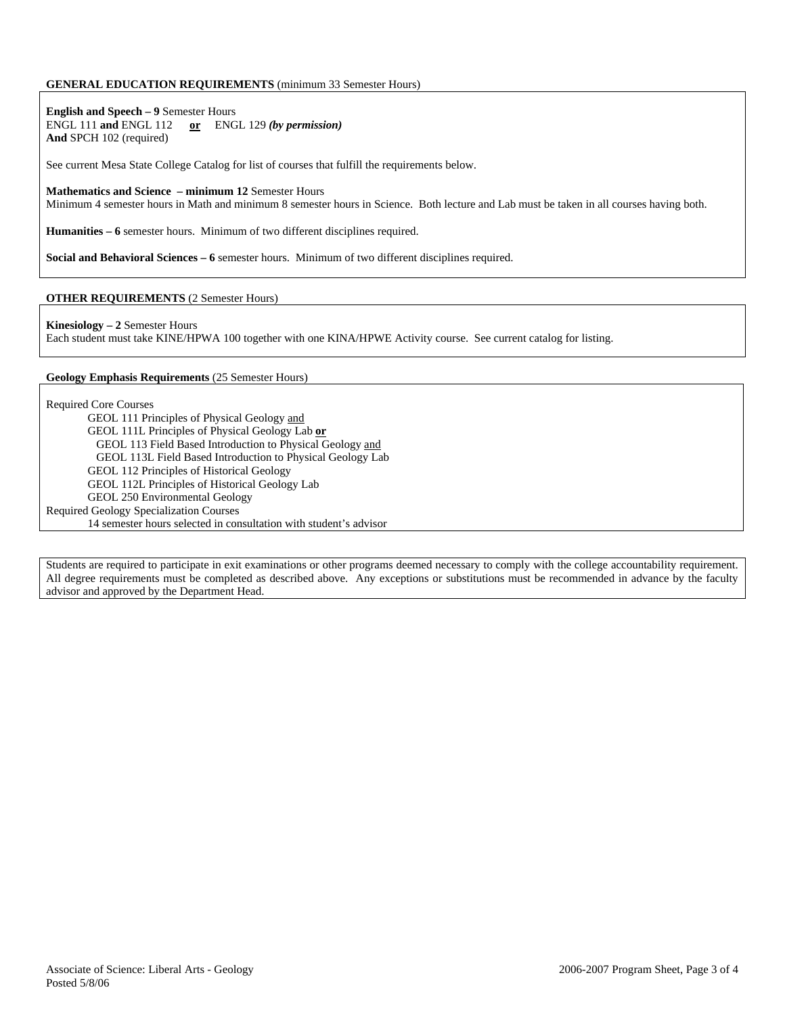## **GENERAL EDUCATION REQUIREMENTS** (minimum 33 Semester Hours)

**English and Speech – 9** Semester Hours ENGL 111 **and** ENGL 112 **or** ENGL 129 *(by permission)* **And** SPCH 102 (required)

See current Mesa State College Catalog for list of courses that fulfill the requirements below.

**Mathematics and Science – minimum 12** Semester Hours

Minimum 4 semester hours in Math and minimum 8 semester hours in Science. Both lecture and Lab must be taken in all courses having both.

**Humanities – 6** semester hours. Minimum of two different disciplines required.

**Social and Behavioral Sciences – 6** semester hours. Minimum of two different disciplines required.

### **OTHER REQUIREMENTS** (2 Semester Hours)

**Kinesiology – 2** Semester Hours

Each student must take KINE/HPWA 100 together with one KINA/HPWE Activity course. See current catalog for listing.

#### **Geology Emphasis Requirements** (25 Semester Hours)

Required Core Courses

GEOL 111 Principles of Physical Geology and GEOL 111L Principles of Physical Geology Lab **or** GEOL 113 Field Based Introduction to Physical Geology and GEOL 113L Field Based Introduction to Physical Geology Lab GEOL 112 Principles of Historical Geology GEOL 112L Principles of Historical Geology Lab GEOL 250 Environmental Geology Required Geology Specialization Courses 14 semester hours selected in consultation with student's advisor

Students are required to participate in exit examinations or other programs deemed necessary to comply with the college accountability requirement. All degree requirements must be completed as described above. Any exceptions or substitutions must be recommended in advance by the faculty advisor and approved by the Department Head.